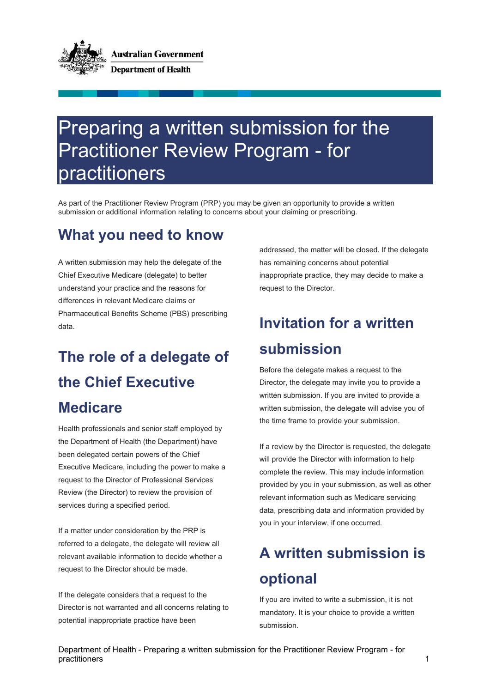

# Preparing a written submission for the Practitioner Review Program - for practitioners

As part of the Practitioner Review Program (PRP) you may be given an opportunity to provide a written submission or additional information relating to concerns about your claiming or prescribing.

#### **What you need to know**

A written submission may help the delegate of the Chief Executive Medicare (delegate) to better understand your practice and the reasons for differences in relevant Medicare claims or Pharmaceutical Benefits Scheme (PBS) prescribing data.

# **The role of a delegate of the Chief Executive**

#### **Medicare**

Health professionals and senior staff employed by the Department of Health (the Department) have been delegated certain powers of the Chief Executive Medicare, including the power to make a request to the Director of Professional Services Review (the Director) to review the provision of services during a specified period.

If a matter under consideration by the PRP is referred to a delegate, the delegate will review all relevant available information to decide whether a request to the Director should be made.

If the delegate considers that a request to the Director is not warranted and all concerns relating to potential inappropriate practice have been

addressed, the matter will be closed. If the delegate has remaining concerns about potential inappropriate practice, they may decide to make a request to the Director.

### **Invitation for a written submission**

Before the delegate makes a request to the Director, the delegate may invite you to provide a written submission. If you are invited to provide a written submission, the delegate will advise you of the time frame to provide your submission.

If a review by the Director is requested, the delegate will provide the Director with information to help complete the review. This may include information provided by you in your submission, as well as other relevant information such as Medicare servicing data, prescribing data and information provided by you in your interview, if one occurred.

### **A written submission is optional**

If you are invited to write a submission, it is not mandatory. It is your choice to provide a written submission.